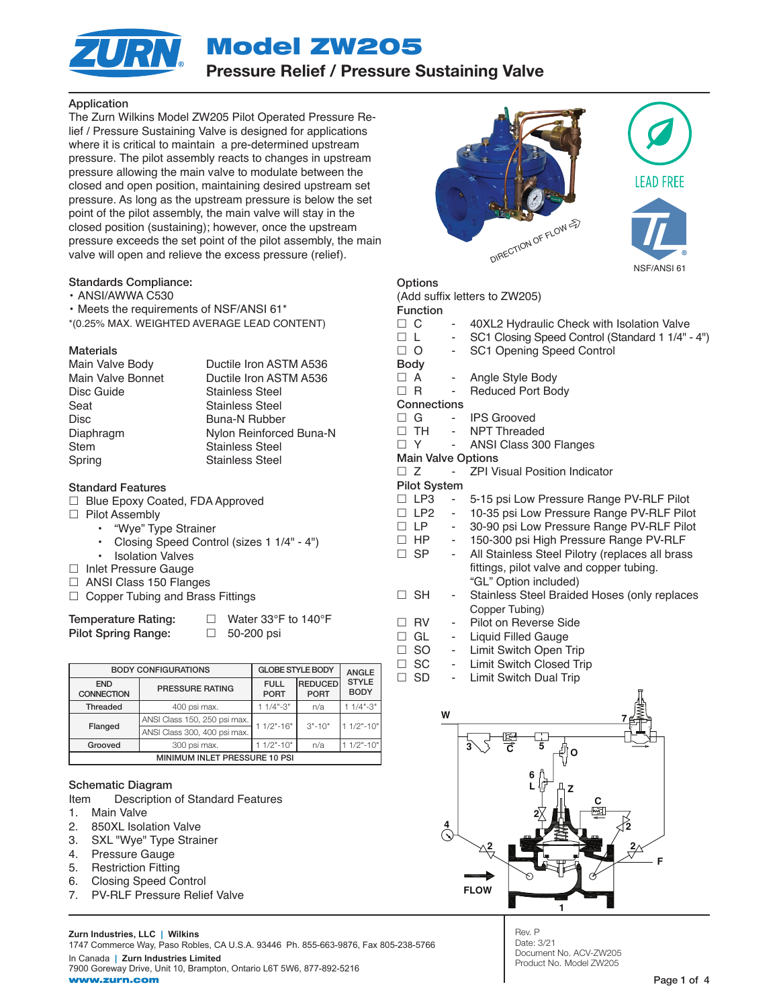Model ZW205



# Pressure Relief / Pressure Sustaining Valve

# Application

The Zurn Wilkins Model ZW205 Pilot Operated Pressure Relief / Pressure Sustaining Valve is designed for applications where it is critical to maintain a pre-determined upstream pressure. The pilot assembly reacts to changes in upstream pressure allowing the main valve to modulate between the closed and open position, maintaining desired upstream set pressure. As long as the upstream pressure is below the set point of the pilot assembly, the main valve will stay in the closed position (sustaining); however, once the upstream pressure exceeds the set point of the pilot assembly, the main valve will open and relieve the excess pressure (relief).

# Standards Compliance:

• ANSI/AWWA C530

• Meets the requirements of NSF/ANSI 61\*

\*(0.25% MAX. WEIGHTED AVERAGE LEAD CONTENT)

# Materials

| Main Valve Body   | Ductile Iron ASTM A536  |
|-------------------|-------------------------|
| Main Valve Bonnet | Ductile Iron ASTM A536  |
| Disc Guide        | <b>Stainless Steel</b>  |
| Seat              | <b>Stainless Steel</b>  |
| Disc              | <b>Buna-N Rubber</b>    |
| Diaphragm         | Nylon Reinforced Buna-N |
| Stem              | <b>Stainless Steel</b>  |
| Spring            | <b>Stainless Steel</b>  |

# Standard Features

- □ Blue Epoxy Coated, FDA Approved
- □ Pilot Assembly
	- "Wye" Type Strainer
	- Closing Speed Control (sizes 1 1/4" 4")
	- Isolation Valves
- □ Inlet Pressure Gauge
- □ ANSI Class 150 Flanges
- $\Box$  Copper Tubing and Brass Fittings

Pilot Spring Range:  $\Box$  50-200 psi

Temperature Rating: □ Water 33°F to 140°F

|                                 | <b>BODY CONFIGURATIONS</b>   | <b>GLOBE STYLE BODY</b>    | <b>ANGLE</b>                                       |              |  |  |  |  |  |  |
|---------------------------------|------------------------------|----------------------------|----------------------------------------------------|--------------|--|--|--|--|--|--|
| <b>END</b><br><b>CONNECTION</b> | PRESSURE RATING              | <b>FULL</b><br><b>PORT</b> | <b>REDUCED</b><br><b>PORT</b>                      | <b>BODY</b>  |  |  |  |  |  |  |
| <b>Threaded</b>                 | 400 psi max.                 | $11/4$ "-3"                | n/a                                                | $1/4" - 3"$  |  |  |  |  |  |  |
| Flanged                         | ANSI Class 150, 250 psi max. | $11/2" - 16"$              |                                                    |              |  |  |  |  |  |  |
|                                 | ANSI Class 300, 400 psi max. |                            | <b>STYLE</b><br>$11/2" - 10"$<br>$3" - 10"$<br>n/a |              |  |  |  |  |  |  |
| Grooved                         | 300 psi max.                 | $11/2" - 10"$              |                                                    | $1/2" - 10"$ |  |  |  |  |  |  |
| MINIMUM INLET PRESSURE 10 PSI   |                              |                            |                                                    |              |  |  |  |  |  |  |

# Schematic Diagram

Item Description of Standard Features

- 1. Main Valve
- 2. 850XL Isolation Valve
- 3. SXL "Wye" Type Strainer
- 4. Pressure Gauge
- 5. Restriction Fitting
- 6. Closing Speed Control
- 7. PV-RLF Pressure Relief Valve

**Zurn Industries, LLC | Wilkins**

1747 Commerce Way, Paso Robles, CA U.S.A. 93446 Ph. 855-663-9876, Fax 805-238-5766 In Canada **| Zurn Industries Limited** 7900 Goreway Drive, Unit 10, Brampton, Ontario L6T 5W6, 877-892-5216







| Options               |  |
|-----------------------|--|
| $\Lambda$ dd ouffiv l |  |

 $(44.44 \times 10^{7} \text{ N})$ 

|                           |        | $(A)$ and suffixed the set of $\angle$ we set $\angle$ |
|---------------------------|--------|--------------------------------------------------------|
| <b>Function</b>           |        |                                                        |
| □С                        |        | 40XL2 Hydraulic Check with Isolation Valve             |
| □∟                        |        | SC1 Closing Speed Control (Standard 1 1/4" - 4")       |
| □ ○                       |        | SC1 Opening Speed Control                              |
| <b>Body</b>               |        |                                                        |
| $\Box$ A                  |        | - Angle Style Body                                     |
| $\Box$ R                  | ۰.     | <b>Reduced Port Body</b>                               |
| Connections               |        |                                                        |
| $\Box$ G                  |        | <b>IPS Grooved</b>                                     |
| $\Box$ TH                 |        | NPT Threaded                                           |
| $\Box$ Y                  | $\sim$ | ANSI Class 300 Flanges                                 |
| <b>Main Valve Options</b> |        |                                                        |
| $\Box$ Z                  |        | <b>ZPI Visual Position Indicator</b>                   |
| <b>Pilot System</b>       |        |                                                        |
| $\Box$ LP3                | ٠      | 5-15 psi Low Pressure Range PV-RLF Pilot               |
| $\Box$ LP2                | - 1    | 10-35 psi Low Pressure Range PV-RLF Pilot              |
| $\Box$ LP                 | - 1    | 30-90 psi Low Pressure Range PV-RLF Pilot              |
| $\Box$ HP                 | $\sim$ | 150-300 psi High Pressure Range PV-RLF                 |
| □ SP                      | $\sim$ | All Stainless Steel Pilotry (replaces all brass        |
|                           |        | fittings, pilot valve and copper tubing.               |
|                           |        | "GL" Option included)                                  |
| <b>SH</b><br>$\mathsf{L}$ | -      | Stainless Steel Braided Hoses (only replaces           |
|                           |        | Copper Tubing)                                         |
| <b>RV</b>                 | -      | Pilot on Reverse Side                                  |
| GL<br>$\mathsf{L}$        |        | Liquid Filled Gauge                                    |
|                           |        |                                                        |

- □ SO Limit Switch Open Trip
- □ SC Limit Switch Closed Trip
- □ SD Limit Switch Dual Trip



Rev. P Date: 3/21 Document No. ACV-ZW205 Product No. Model ZW205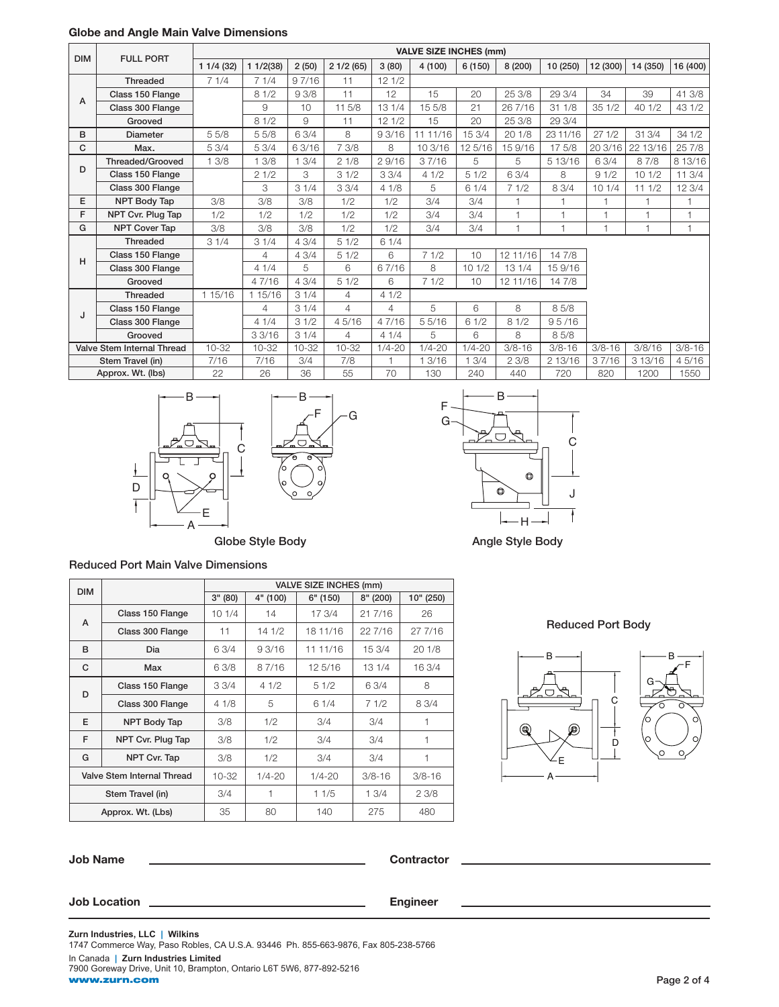|            | GIUDE ANU ANGLE MANIT VAIVE DINENSIURS |           |           |           |                |            |                               |            |              |                |            |          |            |
|------------|----------------------------------------|-----------|-----------|-----------|----------------|------------|-------------------------------|------------|--------------|----------------|------------|----------|------------|
| <b>DIM</b> |                                        |           |           |           |                |            | <b>VALVE SIZE INCHES (mm)</b> |            |              |                |            |          |            |
|            | <b>FULL PORT</b>                       | 11/4(32)  | 11/2(38)  | 2(50)     | 21/2(65)       | 3(80)      | 4 (100)                       | 6(150)     | 8 (200)      | 10 (250)       | 12 (300)   | 14 (350) | 16 (400)   |
|            | <b>Threaded</b>                        | 71/4      | 71/4      | 97/16     | 11             | 121/2      |                               |            |              |                |            |          |            |
| A          | Class 150 Flange                       |           | 81/2      | 93/8      | 11             | 12         | 15                            | 20         | 25 3/8       | 29 3/4         | 34         | 39       | 41 3/8     |
|            | Class 300 Flange                       |           | 9         | 10        | 11 5/8         | 131/4      | 15 5/8                        | 21         | 26 7/16      | 311/8          | 351/2      | 40 1/2   | 43 1/2     |
|            | Grooved                                |           | 81/2      | 9         | 11             | 121/2      | 15                            | 20         | 25 3/8       | 29 3/4         |            |          |            |
| B          | <b>Diameter</b>                        | 55/8      | 55/8      | 63/4      | 8              | 93/16      | 11 11/16                      | 15 3/4     | 201/8        | 23 11/16       | 271/2      | 31 3/4   | 34 1/2     |
| C          | Max.                                   | 5 3/4     | 53/4      | 6 3/16    | 7 3/8          | 8          | 10 3/16                       | 12 5/16    | 15 9/16      | 17 5/8         | 20 3/16    | 22 13/16 | 25 7/8     |
|            | <b>Threaded/Grooved</b>                | 13/8      | 13/8      | 13/4      | 21/8           | 29/16      | 37/16                         | 5          | 5            | 5 13/16        | 6 3/4      | 87/8     | 8 13/16    |
| D          | Class 150 Flange                       |           | 21/2      | З         | 31/2           | 3.3/4      | 41/2                          | 51/2       | 63/4         | 8              | 91/2       | 101/2    | 11 3/4     |
|            | Class 300 Flange                       |           | 3         | 31/4      | 33/4           | 41/8       | 5                             | 61/4       | 71/2         | 8 3/4          | 101/4      | 111/2    | 12 3/4     |
| E          | NPT Body Tap                           | 3/8       | 3/8       | 3/8       | 1/2            | 1/2        | 3/4                           | 3/4        | 1            |                |            | 1        |            |
| F          | NPT Cvr. Plug Tap                      | 1/2       | 1/2       | 1/2       | 1/2            | 1/2        | 3/4                           | 3/4        | $\mathbf{1}$ | 1              | 1          | 1        |            |
| G          | <b>NPT Cover Tap</b>                   | 3/8       | 3/8       | 3/8       | 1/2            | 1/2        | 3/4                           | 3/4        | $\mathbf{1}$ | $\overline{1}$ | 1          | 1        |            |
|            | <b>Threaded</b>                        | 31/4      | 31/4      | 43/4      | 51/2           | 61/4       |                               |            |              |                |            |          |            |
| H          | Class 150 Flange                       |           | 4         | 43/4      | 51/2           | 6          | 71/2                          | 10         | 12 11/16     | 14 7/8         |            |          |            |
|            | Class 300 Flange                       |           | 41/4      | 5         | 6              | 67/16      | 8                             | 101/2      | 131/4        | 15 9/16        |            |          |            |
|            | Grooved                                |           | 47/16     | 43/4      | 51/2           | 6          | 71/2                          | 10         | 12 11/16     | 14 7/8         |            |          |            |
|            | <b>Threaded</b>                        | 1 15/16   | 1 15/16   | 31/4      | $\overline{4}$ | 41/2       |                               |            |              |                |            |          |            |
| J          | Class 150 Flange                       |           | 4         | 31/4      | 4              | 4          | 5                             | 6          | 8            | 85/8           |            |          |            |
|            | Class 300 Flange                       |           | 41/4      | 31/2      | 45/16          | 47/16      | 55/16                         | 61/2       | 81/2         | 95/16          |            |          |            |
|            | Grooved                                |           | 33/16     | 31/4      | $\overline{4}$ | 41/4       | 5                             | 6          | 8            | 85/8           |            |          |            |
|            | Valve Stem Internal Thread             | $10 - 32$ | $10 - 32$ | $10 - 32$ | $10-32$        | $1/4 - 20$ | $1/4 - 20$                    | $1/4 - 20$ | $3/8 - 16$   | $3/8 - 16$     | $3/8 - 16$ | 3/8/16   | $3/8 - 16$ |
|            | Stem Travel (in)                       | 7/16      | 7/16      | 3/4       | 7/8            |            | 1 3/16                        | 13/4       | 23/8         | 2 13/16        | 37/16      | 3 13/16  | 45/16      |
|            | Approx. Wt. (lbs)                      | 22        | 26        | 36        | 55             | 70         | 130                           | 240        | 440          | 720            | 820        | 1200     | 1550       |

F G

# Globe and Angle Main Valve Dimensions





Globe Style Body **Angle Style Body Angle Style Body** 

# Reduced Port Main Valve Dimensions

| <b>DIM</b>       |                            | VALVE SIZE INCHES (mm) |            |            |            |            |  |  |  |  |  |  |
|------------------|----------------------------|------------------------|------------|------------|------------|------------|--|--|--|--|--|--|
|                  |                            | 3" (80)                | 4" (100)   | 6" (150)   | 8''(200)   | 10" (250)  |  |  |  |  |  |  |
|                  | Class 150 Flange           | 101/4                  | 14         | 17 3/4     | 21 7/16    | 26         |  |  |  |  |  |  |
| A<br>B<br>C<br>D | Class 300 Flange           | 11                     | 14 1/2     | 18 11/16   | 22 7/16    | 27 7/16    |  |  |  |  |  |  |
|                  | Dia                        | 6 3/4                  | 9 3/16     | 11 11/16   | 15 3/4     | 20 1/8     |  |  |  |  |  |  |
|                  | Max                        | 6 3/8                  | 87/16      | 12 5/16    | 13 1/4     | 16 3/4     |  |  |  |  |  |  |
|                  | Class 150 Flange           | 33/4                   | 41/2       | 51/2       | 6 3/4      | 8          |  |  |  |  |  |  |
|                  | Class 300 Flange           | 41/8                   | 5          | 61/4       | 71/2       | 8 3/4      |  |  |  |  |  |  |
| F                | <b>NPT Body Tap</b>        | 3/8                    | 1/2        | 3/4        | 3/4        | 1          |  |  |  |  |  |  |
| F                | NPT Cvr. Plug Tap          | 3/8                    | 1/2        | 3/4        | 3/4        | 1          |  |  |  |  |  |  |
| G                | NPT Cvr. Tap               | 3/8                    | 1/2        | 3/4        | 3/4        | 1          |  |  |  |  |  |  |
|                  | Valve Stem Internal Thread |                        | $1/4 - 20$ | $1/4 - 20$ | $3/8 - 16$ | $3/8 - 16$ |  |  |  |  |  |  |
|                  | Stem Travel (in)           | 3/4                    |            | 11/5       | 13/4       | 23/8       |  |  |  |  |  |  |
|                  | Approx. Wt. (Lbs)          | 35                     | 80         | 140        | 275        | 480        |  |  |  |  |  |  |

# Reduced Port Body



| <b>Job Name</b>     | <b>Contractor</b> |
|---------------------|-------------------|
|                     |                   |
| <b>Job Location</b> | <b>Engineer</b>   |
|                     |                   |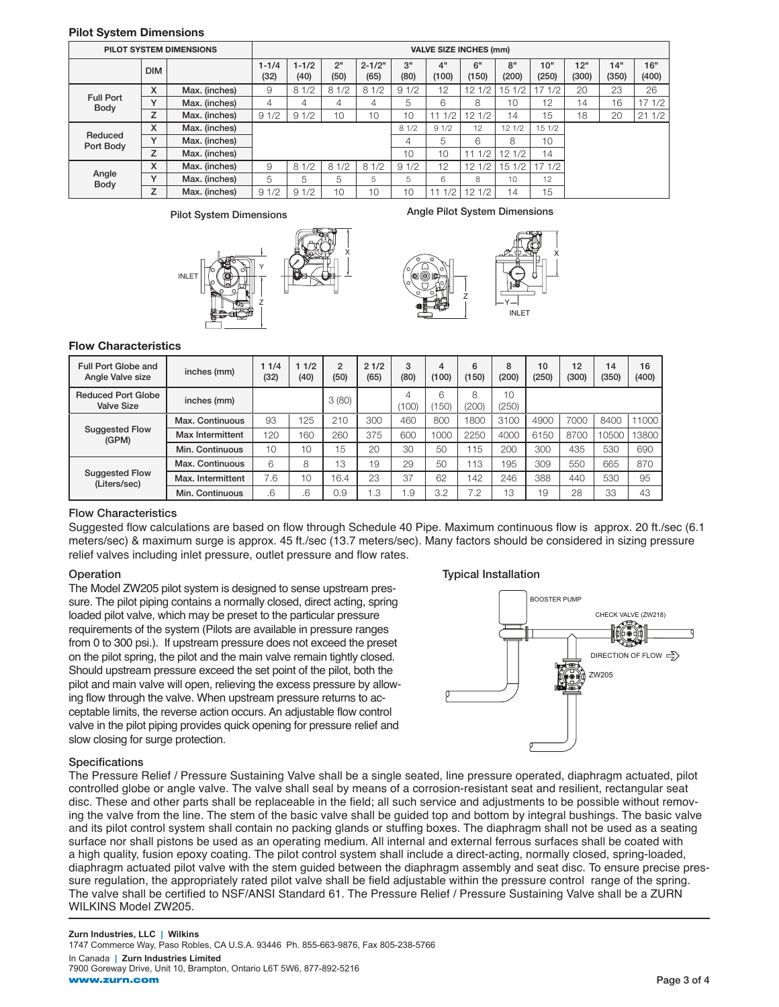# Pilot System Dimensions

|                          | <b>PILOT SYSTEM DIMENSIONS</b> | <b>VALVE SIZE INCHES (mm)</b> |                   |                   |                         |                    |            |             |             |             |              |              |              |              |
|--------------------------|--------------------------------|-------------------------------|-------------------|-------------------|-------------------------|--------------------|------------|-------------|-------------|-------------|--------------|--------------|--------------|--------------|
|                          | <b>DIM</b>                     |                               | $1 - 1/4$<br>(32) | $1 - 1/2$<br>(40) | 2 <sup>11</sup><br>(50) | $2 - 1/2"$<br>(65) | 3"<br>(80) | 4"<br>(100) | 6"<br>(150) | 8"<br>(200) | 10"<br>(250) | 12"<br>(300) | 14"<br>(350) | 16"<br>(400) |
| <b>Full Port</b><br>Body | x                              | Max. (inches)                 | 9                 | 81/2              | 81/2                    | 81/2               | 91/2       | 12          | 12 1/2      | 151/2       | 71/2         | 20           | 23           | 26           |
|                          | $\checkmark$                   | Max. (inches)                 | 4                 | 4                 | 4                       | 4                  | 5          | 6           | 8           | 10          | 12           | 14           | 16           | 17 1/2       |
|                          | z                              | Max. (inches)                 | 91/2              | 91/2              | 10                      | 10                 | 10         | 1/2         | 121/2       | 14          | 15           | 18           | 20           | 211/2        |
|                          | X                              | Max. (inches)                 |                   |                   |                         |                    | 81/2       | 91/2        | 12          | 121/2       | 15 1/2       |              |              |              |
| Reduced<br>Port Body     | $\checkmark$                   | Max. (inches)                 |                   |                   |                         |                    | 4          | 5           | 6           | 8           | 10           |              |              |              |
|                          | Z                              | Max. (inches)                 |                   |                   |                         |                    | 10         | 10          | 1/2<br>11   | 121/2       | 14           |              |              |              |
| Angle<br><b>Body</b>     | X                              | Max. (inches)                 | 9                 | 81/2              | 81/2                    | 81/2               | 91/2       | 12          | 12 1/2      | 151/2       | 171/2        |              |              |              |
|                          | $\checkmark$                   | Max. (inches)                 | 5                 | 5                 | 5                       | 5                  | 5          | 6           | 8           | 10          | 12           |              |              |              |
|                          | 7                              | Max. (inches)                 | 91/2              | 91/2              | 10                      | 10                 | 10         | 1/2         | 121/2       | 14          | 15           |              |              |              |



Pilot System Dimensions **Angle Pilot System Dimensions** 

Z



### Flow Characteristics

| Full Port Globe and<br>Angle Valve size        | inches (mm)       | 1/4<br>(32) | 11/2<br>(40) | $\overline{2}$<br>(50) | 21/2<br>(65) | 3<br>(80) | 4<br>(100) | 6<br>(150) | 8<br>(200)               | 10<br>(250) | 12<br>(300) | 14<br>(350) | 16<br>(400) |
|------------------------------------------------|-------------------|-------------|--------------|------------------------|--------------|-----------|------------|------------|--------------------------|-------------|-------------|-------------|-------------|
| <b>Reduced Port Globe</b><br><b>Valve Size</b> | inches (mm)       |             |              | 3(80)                  |              | (100)     | 6<br>150)  | 8<br>(200) | 10 <sup>1</sup><br>(250) |             |             |             |             |
|                                                | Max. Continuous   | 93          | 125          | 210                    | 300          | 460       | 800        | 1800       | 3100                     | 4900        | 7000        | 8400        | 11000       |
| <b>Suggested Flow</b><br>(GPM)                 | Max Intermittent  | 120         | 160          | 260                    | 375          | 600       | 1000       | 2250       | 4000                     | 6150        | 8700        | 10500       | 13800       |
|                                                | Min. Continuous   | 10          | 10           | 15                     | 20           | 30        | 50         | 15         | 200                      | 300         | 435         | 530         | 690         |
| <b>Suggested Flow</b><br>(Liters/sec)          | Max. Continuous   | 6           | 8            | 13                     | 19           | 29        | 50         | 13         | 195                      | 309         | 550         | 665         | 870         |
|                                                | Max. Intermittent | 7.6         | 10           | 16.4                   | 23           | 37        | 62         | 142        | 246                      | 388         | 440         | 530         | 95          |
|                                                | Min. Continuous   | 6.          | .6           | 0.9                    | 1.3          | . 9       | 3.2        | 7.2        | 13                       | 19          | 28          | 33          | 43          |

# Flow Characteristics

Suggested flow calculations are based on flow through Schedule 40 Pipe. Maximum continuous flow is approx. 20 ft./sec (6.1 meters/sec) & maximum surge is approx. 45 ft./sec (13.7 meters/sec). Many factors should be considered in sizing pressure relief valves including inlet pressure, outlet pressure and flow rates.

# Operation

The Model ZW205 pilot system is designed to sense upstream pressure. The pilot piping contains a normally closed, direct acting, spring loaded pilot valve, which may be preset to the particular pressure requirements of the system (Pilots are available in pressure ranges from 0 to 300 psi.). If upstream pressure does not exceed the preset on the pilot spring, the pilot and the main valve remain tightly closed. Should upstream pressure exceed the set point of the pilot, both the pilot and main valve will open, relieving the excess pressure by allowing flow through the valve. When upstream pressure returns to acceptable limits, the reverse action occurs. An adjustable flow control valve in the pilot piping provides quick opening for pressure relief and slow closing for surge protection.

### Typical Installation



### **Specifications**

The Pressure Relief / Pressure Sustaining Valve shall be a single seated, line pressure operated, diaphragm actuated, pilot controlled globe or angle valve. The valve shall seal by means of a corrosion-resistant seat and resilient, rectangular seat disc. These and other parts shall be replaceable in the field; all such service and adjustments to be possible without removing the valve from the line. The stem of the basic valve shall be guided top and bottom by integral bushings. The basic valve and its pilot control system shall contain no packing glands or stuffing boxes. The diaphragm shall not be used as a seating surface nor shall pistons be used as an operating medium. All internal and external ferrous surfaces shall be coated with a high quality, fusion epoxy coating. The pilot control system shall include a direct-acting, normally closed, spring-loaded, diaphragm actuated pilot valve with the stem guided between the diaphragm assembly and seat disc. To ensure precise pressure regulation, the appropriately rated pilot valve shall be field adjustable within the pressure control range of the spring. The valve shall be certified to NSF/ANSI Standard 61. The Pressure Relief / Pressure Sustaining Valve shall be a ZURN WILKINS Model ZW205.